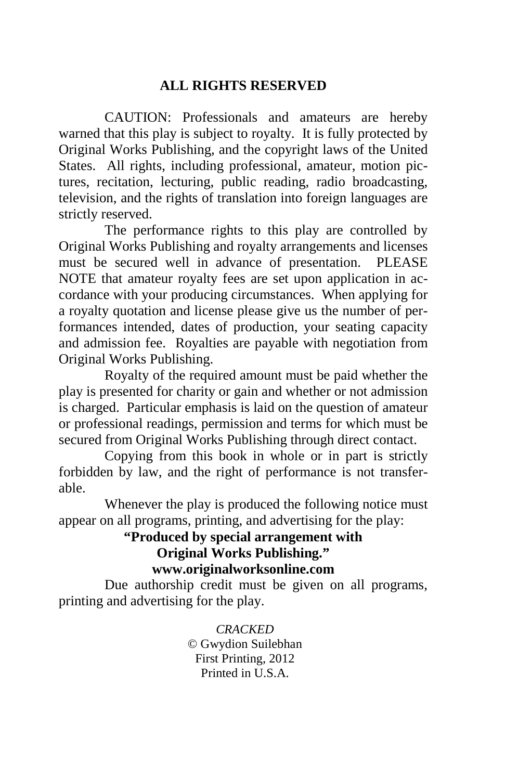#### **ALL RIGHTS RESERVED**

 CAUTION: Professionals and amateurs are hereby warned that this play is subject to royalty. It is fully protected by Original Works Publishing, and the copyright laws of the United States. All rights, including professional, amateur, motion pictures, recitation, lecturing, public reading, radio broadcasting, television, and the rights of translation into foreign languages are strictly reserved.

 The performance rights to this play are controlled by Original Works Publishing and royalty arrangements and licenses must be secured well in advance of presentation. PLEASE NOTE that amateur royalty fees are set upon application in accordance with your producing circumstances. When applying for a royalty quotation and license please give us the number of performances intended, dates of production, your seating capacity and admission fee. Royalties are payable with negotiation from Original Works Publishing.

 Royalty of the required amount must be paid whether the play is presented for charity or gain and whether or not admission is charged. Particular emphasis is laid on the question of amateur or professional readings, permission and terms for which must be secured from Original Works Publishing through direct contact.

 Copying from this book in whole or in part is strictly forbidden by law, and the right of performance is not transferable.

 Whenever the play is produced the following notice must appear on all programs, printing, and advertising for the play:

#### **"Produced by special arrangement with Original Works Publishing." www.originalworksonline.com**

 Due authorship credit must be given on all programs, printing and advertising for the play.

> *CRACKED*  © Gwydion Suilebhan First Printing, 2012 Printed in U.S.A.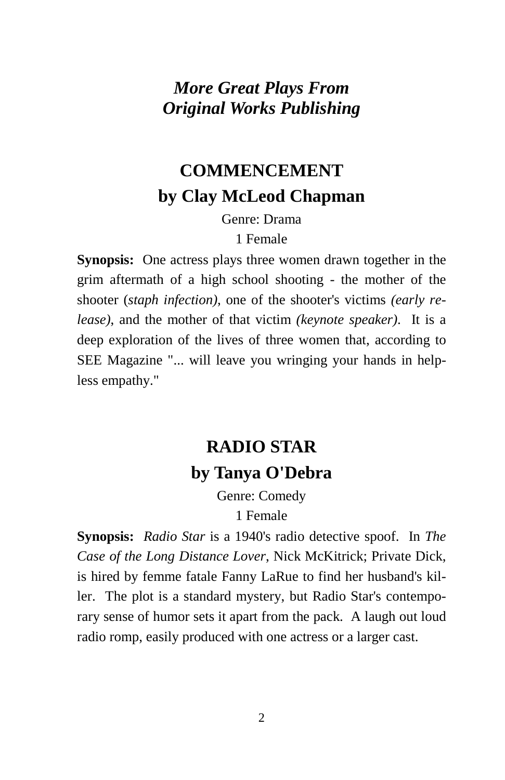### *More Great Plays From Original Works Publishing*

## **COMMENCEMENT by Clay McLeod Chapman**

Genre: Drama

1 Female

**Synopsis:** One actress plays three women drawn together in the grim aftermath of a high school shooting - the mother of the shooter (*staph infection)*, one of the shooter's victims *(early release)*, and the mother of that victim *(keynote speaker)*. It is a deep exploration of the lives of three women that, according to SEE Magazine "... will leave you wringing your hands in helpless empathy."

## **RADIO STAR by Tanya O'Debra**

Genre: Comedy 1 Female

**Synopsis:** *Radio Star* is a 1940's radio detective spoof. In *The Case of the Long Distance Lover*, Nick McKitrick; Private Dick, is hired by femme fatale Fanny LaRue to find her husband's killer. The plot is a standard mystery, but Radio Star's contemporary sense of humor sets it apart from the pack. A laugh out loud radio romp, easily produced with one actress or a larger cast.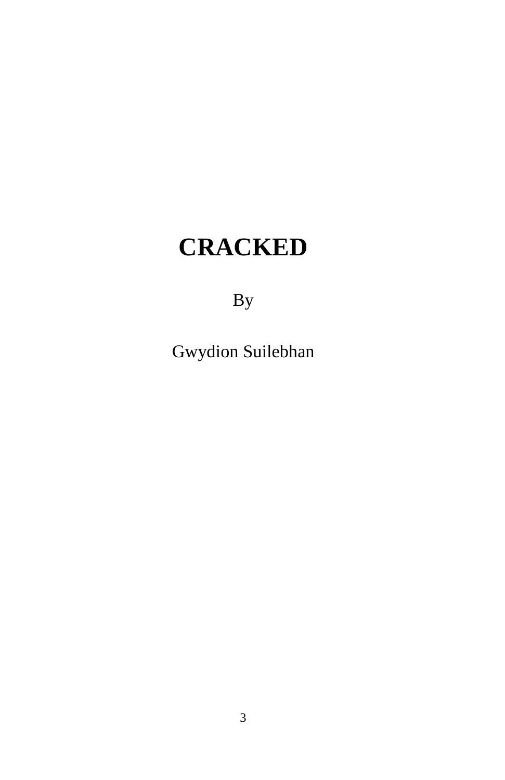# **CRACKED**

By

Gwydion Suilebhan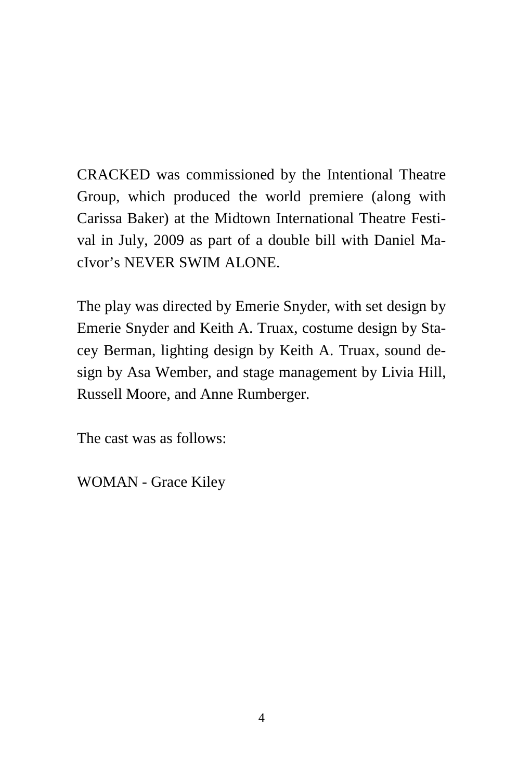CRACKED was commissioned by the Intentional Theatre Group, which produced the world premiere (along with Carissa Baker) at the Midtown International Theatre Festival in July, 2009 as part of a double bill with Daniel MacIvor's NEVER SWIM ALONE.

The play was directed by Emerie Snyder, with set design by Emerie Snyder and Keith A. Truax, costume design by Stacey Berman, lighting design by Keith A. Truax, sound design by Asa Wember, and stage management by Livia Hill, Russell Moore, and Anne Rumberger.

The cast was as follows:

WOMAN - Grace Kiley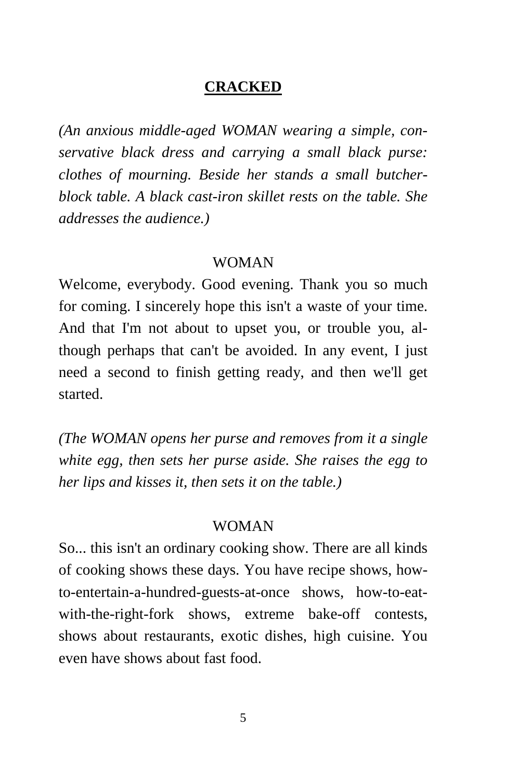#### **CRACKED**

*(An anxious middle-aged WOMAN wearing a simple, conservative black dress and carrying a small black purse: clothes of mourning. Beside her stands a small butcherblock table. A black cast-iron skillet rests on the table. She addresses the audience.)* 

#### WOMAN

Welcome, everybody. Good evening. Thank you so much for coming. I sincerely hope this isn't a waste of your time. And that I'm not about to upset you, or trouble you, although perhaps that can't be avoided. In any event, I just need a second to finish getting ready, and then we'll get started.

*(The WOMAN opens her purse and removes from it a single white egg, then sets her purse aside. She raises the egg to her lips and kisses it, then sets it on the table.)*

#### WOMAN

So... this isn't an ordinary cooking show. There are all kinds of cooking shows these days. You have recipe shows, howto-entertain-a-hundred-guests-at-once shows, how-to-eatwith-the-right-fork shows, extreme bake-off contests, shows about restaurants, exotic dishes, high cuisine. You even have shows about fast food.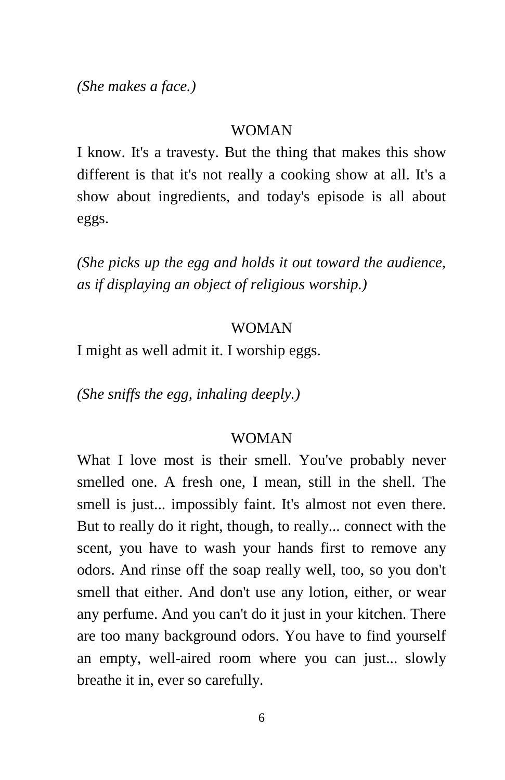*(She makes a face.)* 

#### WOMAN

I know. It's a travesty. But the thing that makes this show different is that it's not really a cooking show at all. It's a show about ingredients, and today's episode is all about eggs.

*(She picks up the egg and holds it out toward the audience, as if displaying an object of religious worship.)* 

#### WOMAN

I might as well admit it. I worship eggs.

*(She sniffs the egg, inhaling deeply.)* 

#### WOMAN

What I love most is their smell. You've probably never smelled one. A fresh one, I mean, still in the shell. The smell is just... impossibly faint. It's almost not even there. But to really do it right, though, to really... connect with the scent, you have to wash your hands first to remove any odors. And rinse off the soap really well, too, so you don't smell that either. And don't use any lotion, either, or wear any perfume. And you can't do it just in your kitchen. There are too many background odors. You have to find yourself an empty, well-aired room where you can just... slowly breathe it in, ever so carefully.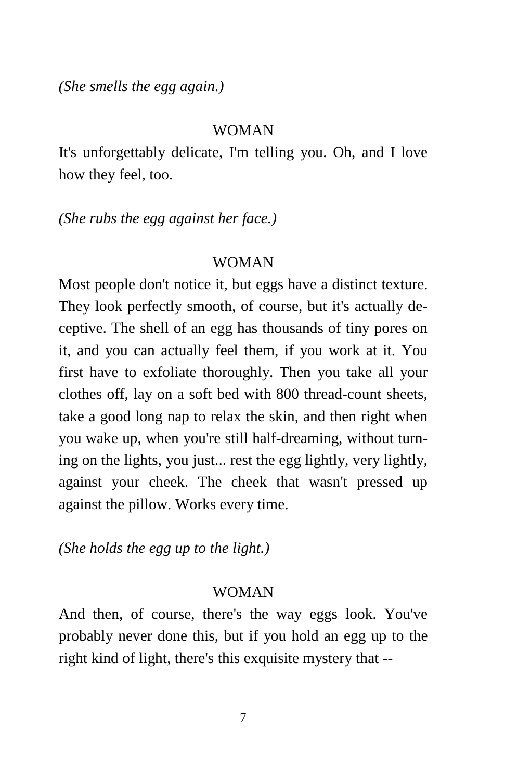*(She smells the egg again.)* 

#### WOMAN

It's unforgettably delicate, I'm telling you. Oh, and I love how they feel, too.

*(She rubs the egg against her face.)* 

#### WOMAN

Most people don't notice it, but eggs have a distinct texture. They look perfectly smooth, of course, but it's actually deceptive. The shell of an egg has thousands of tiny pores on it, and you can actually feel them, if you work at it. You first have to exfoliate thoroughly. Then you take all your clothes off, lay on a soft bed with 800 thread-count sheets, take a good long nap to relax the skin, and then right when you wake up, when you're still half-dreaming, without turning on the lights, you just... rest the egg lightly, very lightly, against your cheek. The cheek that wasn't pressed up against the pillow. Works every time.

*(She holds the egg up to the light.)* 

#### WOMAN

And then, of course, there's the way eggs look. You've probably never done this, but if you hold an egg up to the right kind of light, there's this exquisite mystery that --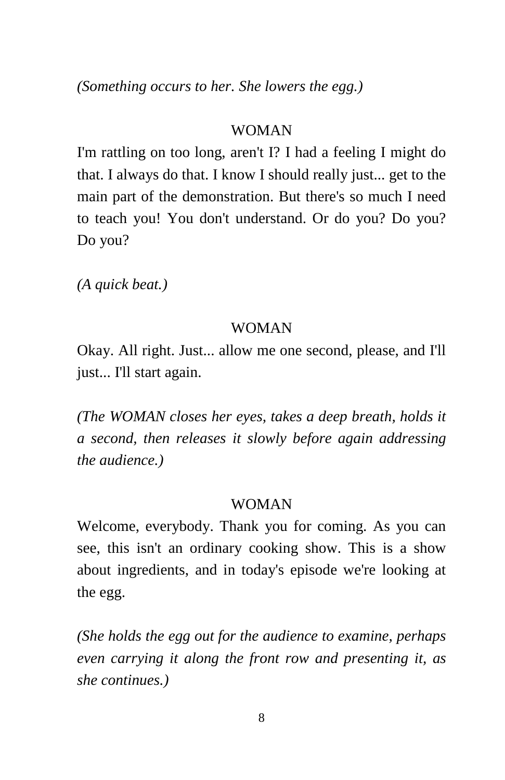*(Something occurs to her. She lowers the egg.)* 

#### WOMAN

I'm rattling on too long, aren't I? I had a feeling I might do that. I always do that. I know I should really just... get to the main part of the demonstration. But there's so much I need to teach you! You don't understand. Or do you? Do you? Do you?

*(A quick beat.)* 

#### WOMAN

Okay. All right. Just... allow me one second, please, and I'll just... I'll start again.

*(The WOMAN closes her eyes, takes a deep breath, holds it a second, then releases it slowly before again addressing the audience.)* 

#### WOMAN

Welcome, everybody. Thank you for coming. As you can see, this isn't an ordinary cooking show. This is a show about ingredients, and in today's episode we're looking at the egg.

*(She holds the egg out for the audience to examine, perhaps even carrying it along the front row and presenting it, as she continues.)*